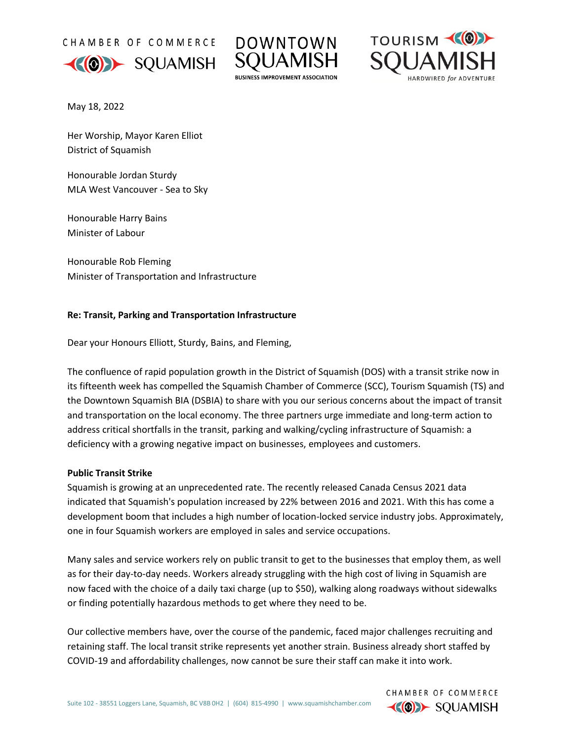CHAMBER OF COMMERCE







CHAMBER OF COMMERCE **KOD** SQUAMISH

May 18, 2022

Her Worship, Mayor Karen Elliot District of Squamish

Honourable Jordan Sturdy MLA West Vancouver - Sea to Sky

Honourable Harry Bains Minister of Labour

Honourable Rob Fleming Minister of Transportation and Infrastructure

# **Re: Transit, Parking and Transportation Infrastructure**

Dear your Honours Elliott, Sturdy, Bains, and Fleming,

The confluence of rapid population growth in the District of Squamish (DOS) with a transit strike now in its fifteenth week has compelled the Squamish Chamber of Commerce (SCC), Tourism Squamish (TS) and the Downtown Squamish BIA (DSBIA) to share with you our serious concerns about the impact of transit and transportation on the local economy. The three partners urge immediate and long-term action to address critical shortfalls in the transit, parking and walking/cycling infrastructure of Squamish: a deficiency with a growing negative impact on businesses, employees and customers.

# **Public Transit Strike**

Squamish is growing at an unprecedented rate. The recently released Canada Census 2021 data indicated that Squamish's population increased by 22% between 2016 and 2021. With this has come a development boom that includes a high number of location-locked service industry jobs. Approximately, one in four Squamish workers are employed in sales and service occupations.

Many sales and service workers rely on public transit to get to the businesses that employ them, as well as for their day-to-day needs. Workers already struggling with the high cost of living in Squamish are now faced with the choice of a daily taxi charge (up to \$50), walking along roadways without sidewalks or finding potentially hazardous methods to get where they need to be.

Our collective members have, over the course of the pandemic, faced major challenges recruiting and retaining staff. The local transit strike represents yet another strain. Business already short staffed by COVID-19 and affordability challenges, now cannot be sure their staff can make it into work.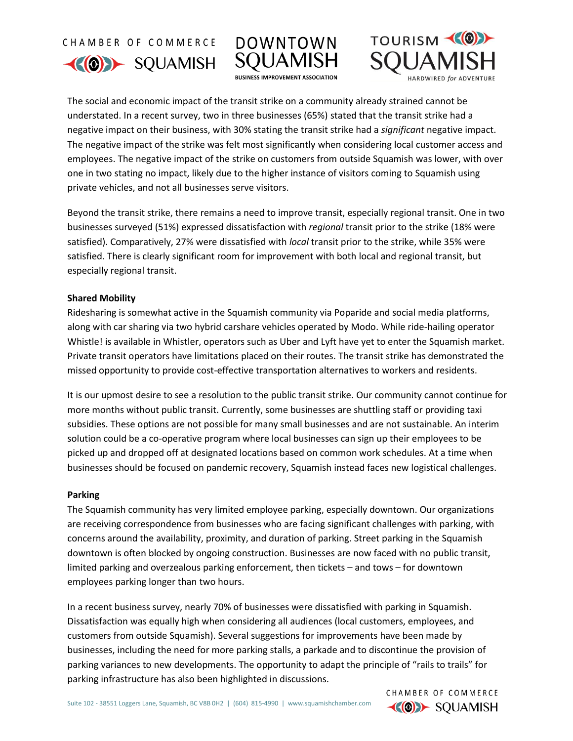CHAMBER OF COMMERCE





TOURISM (O)

CHAMBER OF COMMERCE **KOD** SQUAMISH

The social and economic impact of the transit strike on a community already strained cannot be understated. In a recent survey, two in three businesses (65%) stated that the transit strike had a negative impact on their business, with 30% stating the transit strike had a *significant* negative impact. The negative impact of the strike was felt most significantly when considering local customer access and employees. The negative impact of the strike on customers from outside Squamish was lower, with over one in two stating no impact, likely due to the higher instance of visitors coming to Squamish using private vehicles, and not all businesses serve visitors.

Beyond the transit strike, there remains a need to improve transit, especially regional transit. One in two businesses surveyed (51%) expressed dissatisfaction with *regional* transit prior to the strike (18% were satisfied). Comparatively, 27% were dissatisfied with *local* transit prior to the strike, while 35% were satisfied. There is clearly significant room for improvement with both local and regional transit, but especially regional transit.

### **Shared Mobility**

Ridesharing is somewhat active in the Squamish community via Poparide and social media platforms, along with car sharing via two hybrid carshare vehicles operated by Modo. While ride-hailing operator Whistle! is available in Whistler, operators such as Uber and Lyft have yet to enter the Squamish market. Private transit operators have limitations placed on their routes. The transit strike has demonstrated the missed opportunity to provide cost-effective transportation alternatives to workers and residents.

It is our upmost desire to see a resolution to the public transit strike. Our community cannot continue for more months without public transit. Currently, some businesses are shuttling staff or providing taxi subsidies. These options are not possible for many small businesses and are not sustainable. An interim solution could be a co-operative program where local businesses can sign up their employees to be picked up and dropped off at designated locations based on common work schedules. At a time when businesses should be focused on pandemic recovery, Squamish instead faces new logistical challenges.

#### **Parking**

The Squamish community has very limited employee parking, especially downtown. Our organizations are receiving correspondence from businesses who are facing significant challenges with parking, with concerns around the availability, proximity, and duration of parking. Street parking in the Squamish downtown is often blocked by ongoing construction. Businesses are now faced with no public transit, limited parking and overzealous parking enforcement, then tickets – and tows – for downtown employees parking longer than two hours.

In a recent business survey, nearly 70% of businesses were dissatisfied with parking in Squamish. Dissatisfaction was equally high when considering all audiences (local customers, employees, and customers from outside Squamish). Several suggestions for improvements have been made by businesses, including the need for more parking stalls, a parkade and to discontinue the provision of parking variances to new developments. The opportunity to adapt the principle of "rails to trails" for parking infrastructure has also been highlighted in discussions.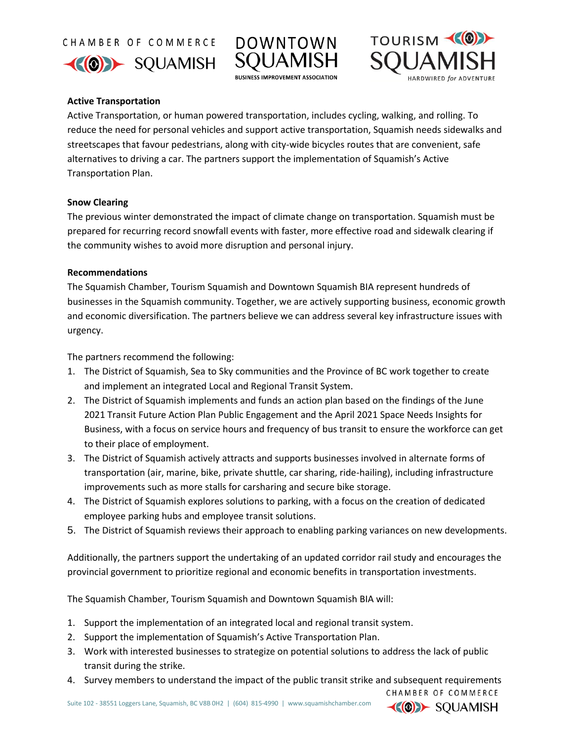CHAMBER OF COMMERCE





**BUSINESS IMPROVEMENT ASSOCIATION** 



CHAMBER OF COMMERCE **KIOD** SOUAMISH

## **Active Transportation**

Active Transportation, or human powered transportation, includes cycling, walking, and rolling. To reduce the need for personal vehicles and support active transportation, Squamish needs sidewalks and streetscapes that favour pedestrians, along with city-wide bicycles routes that are convenient, safe alternatives to driving a car. The partners support the implementation of Squamish's Active Transportation Plan.

### **Snow Clearing**

The previous winter demonstrated the impact of climate change on transportation. Squamish must be prepared for recurring record snowfall events with faster, more effective road and sidewalk clearing if the community wishes to avoid more disruption and personal injury.

### **Recommendations**

The Squamish Chamber, Tourism Squamish and Downtown Squamish BIA represent hundreds of businesses in the Squamish community. Together, we are actively supporting business, economic growth and economic diversification. The partners believe we can address several key infrastructure issues with urgency.

The partners recommend the following:

- 1. The District of Squamish, Sea to Sky communities and the Province of BC work together to create and implement an integrated Local and Regional Transit System.
- 2. The District of Squamish implements and funds an action plan based on the findings of the June 2021 Transit Future Action Plan Public Engagement and the April 2021 Space Needs Insights for Business, with a focus on service hours and frequency of bus transit to ensure the workforce can get to their place of employment.
- 3. The District of Squamish actively attracts and supports businesses involved in alternate forms of transportation (air, marine, bike, private shuttle, car sharing, ride-hailing), including infrastructure improvements such as more stalls for carsharing and secure bike storage.
- 4. The District of Squamish explores solutions to parking, with a focus on the creation of dedicated employee parking hubs and employee transit solutions.
- 5. The District of Squamish reviews their approach to enabling parking variances on new developments.

Additionally, the partners support the undertaking of an updated corridor rail study and encourages the provincial government to prioritize regional and economic benefits in transportation investments.

The Squamish Chamber, Tourism Squamish and Downtown Squamish BIA will:

- 1. Support the implementation of an integrated local and regional transit system.
- 2. Support the implementation of Squamish's Active Transportation Plan.
- 3. Work with interested businesses to strategize on potential solutions to address the lack of public transit during the strike.
- 4. Survey members to understand the impact of the public transit strike and subsequent requirements